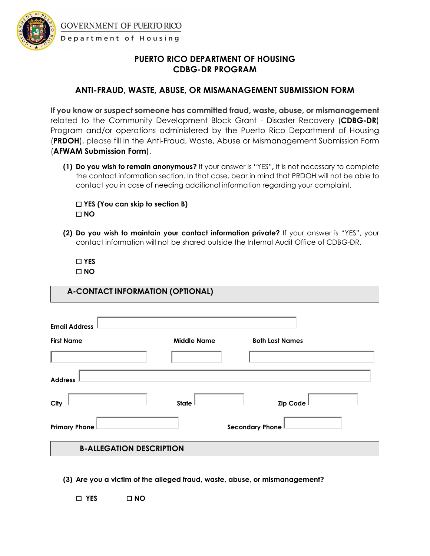

**GOVERNMENT OF PUERTO RICO** 

## Department of Housing

## **PUERTO RICO DEPARTMENT OF HOUSING CDBG-DR PROGRAM**

## **ANTI-FRAUD, WASTE, ABUSE, OR MISMANAGEMENT SUBMISSION FORM**

**If you know or suspect someone has committed fraud, waste, abuse, or mismanagement**  related to the Community Development Block Grant - Disaster Recovery (**CDBG-DR**) Program and/or operations administered by the Puerto Rico Department of Housing (**PRDOH**), please fill in the Anti-Fraud, Waste, Abuse or Mismanagement Submission Form (**AFWAM Submission Form**).

**(1) Do you wish to remain anonymous?** If your answer is "YES"**,** it is not necessary to complete the contact information section. In that case, bear in mind that PRDOH will not be able to contact you in case of needing additional information regarding your complaint.

☐ **YES (You can skip to section B)**  ☐ **NO**

**(2) Do you wish to maintain your contact information private?** If your answer is "YES", your contact information will not be shared outside the Internal Audit Office of CDBG-DR.

☐ **YES**  ☐ **NO**

**A-CONTACT INFORMATION (OPTIONAL)**

| <b>Email Address</b>            |                    |                        |
|---------------------------------|--------------------|------------------------|
| <b>First Name</b>               | <b>Middle Name</b> | <b>Both Last Names</b> |
|                                 |                    |                        |
| <b>Address</b>                  |                    |                        |
| City                            | State              | Zip Code               |
| <b>Primary Phone</b>            |                    | Secondary Phone        |
| <b>B-ALLEGATION DESCRIPTION</b> |                    |                        |

**(3) Are you a victim of the alleged fraud, waste, abuse, or mismanagement?**

☐ **YES** ☐ **NO**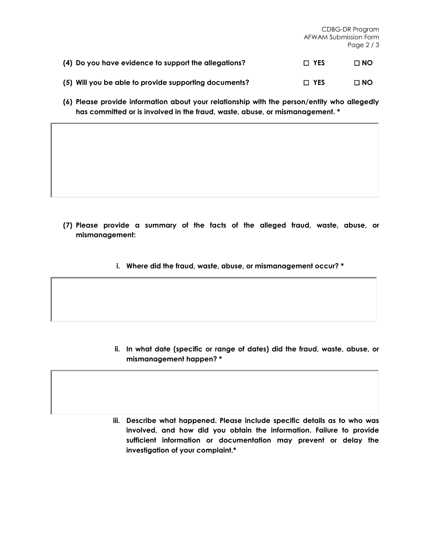|                                                       | CDBG-DR Program<br>AFWAM Submission Form<br>Page $2/3$ |           |
|-------------------------------------------------------|--------------------------------------------------------|-----------|
| (4) Do you have evidence to support the allegations?  | $\Box$ YES                                             | $\Box$ NO |
| (5) Will you be able to provide supporting documents? | $\Box$ YES                                             | $\Box$ NO |

**(6) Please provide information about your relationship with the person/entity who allegedly has committed or is involved in the fraud, waste, abuse, or mismanagement. \***

- **(7) Please provide a summary of the facts of the alleged fraud, waste, abuse, or mismanagement:** 
	- **i. Where did the fraud, waste, abuse, or mismanagement occur? \***

- **ii. In what date (specific or range of dates) did the fraud, waste, abuse, or mismanagement happen? \***
- **iii. Describe what happened. Please include specific details as to who was involved, and how did you obtain the information. Failure to provide sufficient information or documentation may prevent or delay the investigation of your complaint.\***